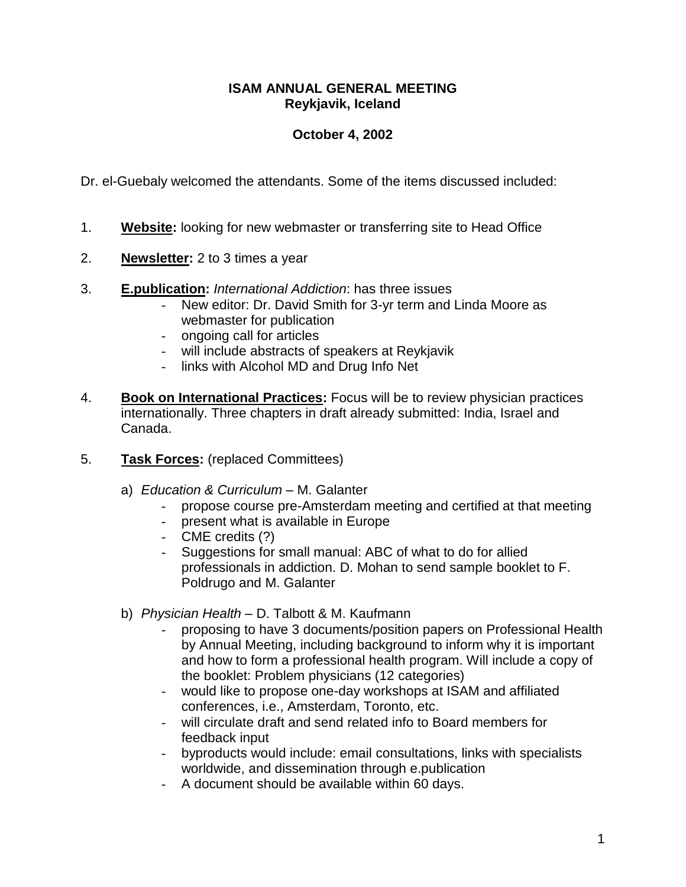## **ISAM ANNUAL GENERAL MEETING Reykjavik, Iceland**

## **October 4, 2002**

Dr. el-Guebaly welcomed the attendants. Some of the items discussed included:

- 1. **Website:** looking for new webmaster or transferring site to Head Office
- 2. **Newsletter:** 2 to 3 times a year
- 3. **E.publication:** *International Addiction*: has three issues
	- New editor: Dr. David Smith for 3-yr term and Linda Moore as webmaster for publication
	- ongoing call for articles
	- will include abstracts of speakers at Reykjavik
	- links with Alcohol MD and Drug Info Net
- 4. **Book on International Practices:** Focus will be to review physician practices internationally. Three chapters in draft already submitted: India, Israel and Canada.
- 5. **Task Forces:** (replaced Committees)
	- a) *Education & Curriculum* M. Galanter
		- propose course pre-Amsterdam meeting and certified at that meeting
		- present what is available in Europe
		- CME credits (?)
		- Suggestions for small manual: ABC of what to do for allied professionals in addiction. D. Mohan to send sample booklet to F. Poldrugo and M. Galanter
	- b) *Physician Health* D. Talbott & M. Kaufmann
		- proposing to have 3 documents/position papers on Professional Health by Annual Meeting, including background to inform why it is important and how to form a professional health program. Will include a copy of the booklet: Problem physicians (12 categories)
		- would like to propose one-day workshops at ISAM and affiliated conferences, i.e., Amsterdam, Toronto, etc.
		- will circulate draft and send related info to Board members for feedback input
		- byproducts would include: email consultations, links with specialists worldwide, and dissemination through e.publication
		- A document should be available within 60 days.